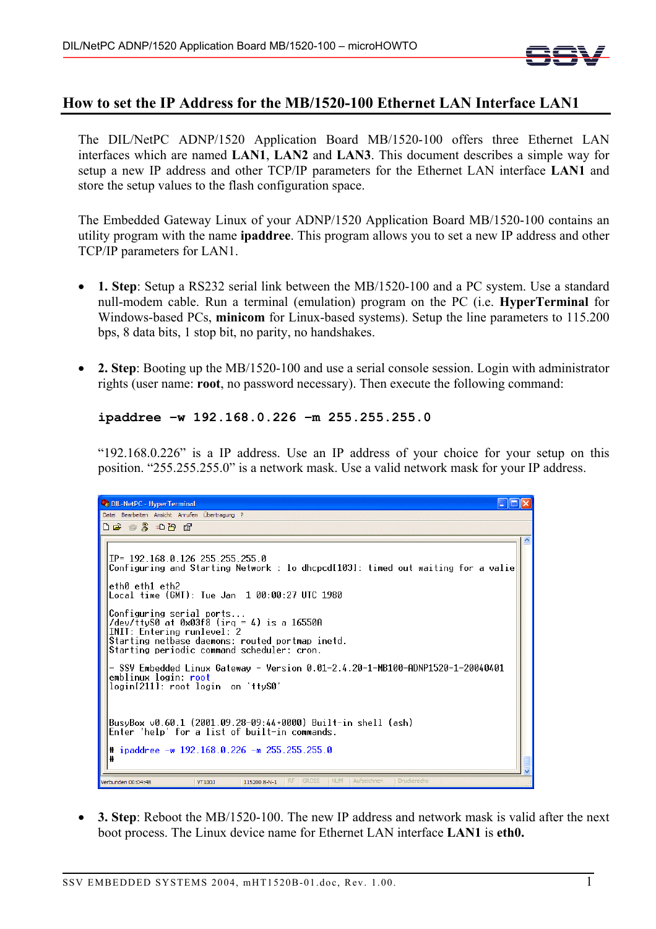

## **How to set the IP Address for the MB/1520-100 Ethernet LAN Interface LAN1**

The DIL/NetPC ADNP/1520 Application Board MB/1520-100 offers three Ethernet LAN interfaces which are named **LAN1**, **LAN2** and **LAN3**. This document describes a simple way for setup a new IP address and other TCP/IP parameters for the Ethernet LAN interface **LAN1** and store the setup values to the flash configuration space.

The Embedded Gateway Linux of your ADNP/1520 Application Board MB/1520-100 contains an utility program with the name **ipaddree**. This program allows you to set a new IP address and other TCP/IP parameters for LAN1.

- **1. Step**: Setup a RS232 serial link between the MB/1520-100 and a PC system. Use a standard null-modem cable. Run a terminal (emulation) program on the PC (i.e. **HyperTerminal** for Windows-based PCs, **minicom** for Linux-based systems). Setup the line parameters to 115.200 bps, 8 data bits, 1 stop bit, no parity, no handshakes.
- **2. Step**: Booting up the MB/1520-100 and use a serial console session. Login with administrator rights (user name: **root**, no password necessary). Then execute the following command:

```
ipaddree –w 192.168.0.226 –m 255.255.255.0
```
"192.168.0.226" is a IP address. Use an IP address of your choice for your setup on this position. "255.255.255.0" is a network mask. Use a valid network mask for your IP address.

| <b>Ca</b> DIL-NetPC - HyperTerminal                                                                                                                                                                            |  |  |
|----------------------------------------------------------------------------------------------------------------------------------------------------------------------------------------------------------------|--|--|
| Datei Bearbeiten Ansicht Anrufen Übertragung ?                                                                                                                                                                 |  |  |
| $D \not\cong \mathrel{\circledast} \mathrel{\mathcal{Z}} \mathrel{\circledast} D \not\cong \mathrel{\circledast}$                                                                                              |  |  |
| $IP = 192.168.0.126255.255.255.0$<br>Configuring and Starting Network : lo dhcpcd[103]: timed out waiting for a valie<br>eth0 eth1 eth2<br>Local time (GMT): Tue Jan 1 00:00:27 UTC 1980                       |  |  |
| Configuring serial ports<br>/dev/ttyS0 at $0 \times 03f8$ (irq = 4) is a 16550A<br>INIT: Entering runlevel: 2<br>Starting netbase daemons: routed portmap inetd.<br>Starting periodic command scheduler: cron. |  |  |
| - SSV Embedded Linux Gateway - Version 0.01-2.4.20-1-MB100-ADNP1520-1-20040401<br>emblinux login: root<br>login[211]: root login on 'ttyS0'                                                                    |  |  |
| BusyBox v0.60.1 (2001.09.28-09:44+0000) Built-in shell (ash)<br>Enter 'help' for a list of built-in commands.                                                                                                  |  |  |
| # ipaddree -w 192.168.0.226 -m 255.255.255.0<br>Ħ                                                                                                                                                              |  |  |
| <b>NUM</b><br><b>Aufzeichnen</b><br><b>RF</b><br><b>GROSS</b><br>Druckerecho<br>Verbunden 00:04:48<br>VT100J<br>115200 8-N-1                                                                                   |  |  |

• **3. Step**: Reboot the MB/1520-100. The new IP address and network mask is valid after the next boot process. The Linux device name for Ethernet LAN interface **LAN1** is **eth0.**